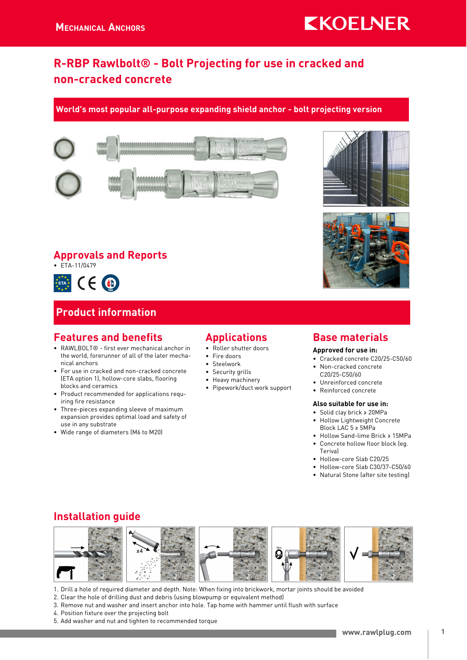# R-RBP Rawlbolt® - Bolt Projecting for use in cracked and non-cracked concrete

#### World's most popular all-purpose expanding shield anchor - bolt projecting version



#### Approvals and Reports

 $\cdot$  FTA-11/0479



#### Product information

#### Features and benefits

- RAWLBOLT® first ever mechanical anchor in the world, forerunner of all of the later mechanical anchors
- For use in cracked and non-cracked concrete (ETA option 1), hollow-core slabs, flooring blocks and ceramics
- Product recommended for applications requiring fire resistance
- Three-pieces expanding sleeve of maximum expansion provides optimal load and safety of use in any substrate
- Wide range of diameters (M6 to M20)

#### Applications

- Roller shutter doors
- Fire doors
- Steelwork
- Security grills
- Heavy machinery
- Pipework/duct work support

### Base materials

#### Approved for use in:

- Cracked concrete C20/25-C50/60
- Non-cracked concrete
- C20/25-C50/60 • Unreinforced concrete
- Reinforced concrete

#### Also suitable for use in:

- Solid clay brick ≥ 20MPa
- Hollow Lightweight Concrete Block LAC 5 ≥ 5MPa
- Hollow Sand-lime Brick ≥ 15MPa • Concrete hollow floor block (eg.
- **Terival**
- Hollow-core Slab C20/25
- Hollow-core Slab C30/37-C50/60
- Natural Stone (after site testing)

### Installation guide



1. Drill a hole of required diameter and depth. Note: When fixing into brickwork, mortar joints should be avoided

- 2. Clear the hole of drilling dust and debris (using blowpump or equivalent method)
- 3. Remove nut and washer and insert anchor into hole. Tap home with hammer until flush with surface
- 4. Position fixture over the projecting bolt
- 5. Add washer and nut and tighten to recommended torque



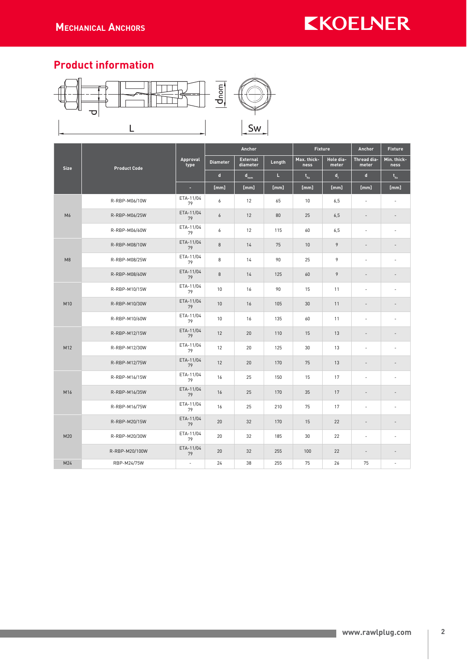#### Product information



|                |                     |                  |                 | Anchor                      |        | <b>Fixture</b>      |                         | Anchor                   | <b>Fixture</b>       |
|----------------|---------------------|------------------|-----------------|-----------------------------|--------|---------------------|-------------------------|--------------------------|----------------------|
| <b>Size</b>    | <b>Product Code</b> | Approval<br>type | <b>Diameter</b> | <b>External</b><br>diameter | Length | Max. thick-<br>ness | Hole dia-<br>meter      | Thread dia-<br>meter     | Min. thick-<br>ness  |
|                |                     |                  | $\mathbf d$     | $d_{nom}$                   | L      | $t_{fix}$           | $\mathsf{d}_{\epsilon}$ | $\mathbf d$              | $t_{fix}$            |
|                |                     | в                | [mm]            | [mm]                        | [mm]   | [mm]                | [mm]                    | [mm]                     | [mm]                 |
|                | R-RBP-M06/10W       | ETA-11/04<br>79  | 6               | 12                          | 65     | 10                  | 6,5                     | ÷,                       |                      |
| M <sub>6</sub> | R-RBP-M06/25W       | ETA-11/04<br>79  | 6               | 12                          | 80     | 25                  | 6,5                     | $\overline{\phantom{a}}$ |                      |
|                | R-RBP-M06/60W       | ETA-11/04<br>79  | 6               | 12                          | 115    | 60                  | 6,5                     | $\bar{\phantom{a}}$      |                      |
|                | R-RBP-M08/10W       | ETA-11/04<br>79  | 8               | 14                          | 75     | 10                  | 9                       | $\qquad \qquad -$        |                      |
| M8             | R-RBP-M08/25W       | ETA-11/04<br>79  | 8               | 14                          | 90     | 25                  | 9                       | $\sim$                   | $\ddot{\phantom{1}}$ |
|                | R-RBP-M08/60W       | ETA-11/04<br>79  | 8               | 14                          | 125    | 60                  | 9                       |                          |                      |
| M10            | R-RBP-M10/15W       | ETA-11/04<br>79  | 10              | 16                          | 90     | 15                  | 11                      | ÷,                       |                      |
|                | R-RBP-M10/30W       | ETA-11/04<br>79  | 10              | 16                          | 105    | 30                  | 11                      | $\overline{\phantom{a}}$ |                      |
|                | R-RBP-M10/60W       | ETA-11/04<br>79  | 10              | 16                          | 135    | 60                  | 11                      | $\sim$                   |                      |
|                | R-RBP-M12/15W       | ETA-11/04<br>79  | 12              | 20                          | 110    | 15                  | 13                      | $\overline{\phantom{a}}$ |                      |
| M12            | R-RBP-M12/30W       | ETA-11/04<br>79  | 12              | 20                          | 125    | 30                  | 13                      | ÷,                       | ÷,                   |
|                | R-RBP-M12/75W       | ETA-11/04<br>79  | 12              | 20                          | 170    | 75                  | 13                      | $\overline{\phantom{a}}$ |                      |
|                | R-RBP-M16/15W       | ETA-11/04<br>79  | 16              | 25                          | 150    | 15                  | 17                      | $\overline{\phantom{a}}$ |                      |
| M16            | R-RBP-M16/35W       | ETA-11/04<br>79  | 16              | 25                          | 170    | 35                  | 17                      | $\overline{\phantom{a}}$ |                      |
|                | R-RBP-M16/75W       | ETA-11/04<br>79  | 16              | 25                          | 210    | 75                  | 17                      | $\sim$                   |                      |
|                | R-RBP-M20/15W       | ETA-11/04<br>79  | 20              | 32                          | 170    | 15                  | 22                      | $\qquad \qquad -$        |                      |
| M20            | R-RBP-M20/30W       | ETA-11/04<br>79  | 20              | 32                          | 185    | 30                  | 22                      | $\sim$                   |                      |
|                | R-RBP-M20/100W      | ETA-11/04<br>79  | 20              | 32                          | 255    | 100                 | 22                      | $\overline{\phantom{a}}$ |                      |
| M24            | RBP-M24/75W         | ÷,               | 24              | 38                          | 255    | 75                  | 26                      | 75                       | $\sim$               |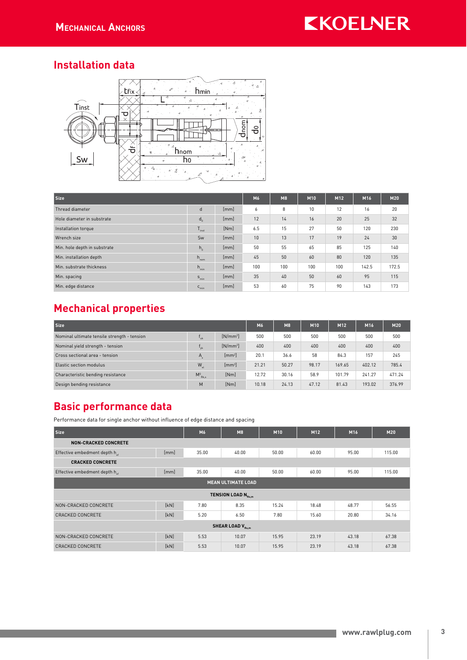#### Installation data



| Size                         | M <sub>6</sub>          | <b>M8</b> | M10 | M12 | M <sub>16</sub> | M20 |       |       |
|------------------------------|-------------------------|-----------|-----|-----|-----------------|-----|-------|-------|
| Thread diameter              | d                       | [mm]      | 6   | 8   | 10              | 12  | 16    | 20    |
| Hole diameter in substrate   | $d_0$                   | [mm]      | 12  | 14  | 16              | 20  | 25    | 32    |
| Installation torque          | Ŧ<br>$\frac{1}{2}$ inst | [Nm]      | 6.5 | 15  | 27              | 50  | 120   | 230   |
| Wrench size                  | Sw                      | [mm]      | 10  | 13  | 17              | 19  | 24    | 30    |
| Min. hole depth in substrate | $h_{n}$                 | [mm]      | 50  | 55  | 65              | 85  | 125   | 140   |
| Min. installation depth      | $h_{\text{nom}}$        | [mm]      | 45  | 50  | 60              | 80  | 120   | 135   |
| Min. substrate thickness     | $h_{min}$               | [mm]      | 100 | 100 | 100             | 100 | 142.5 | 172.5 |
| Min. spacing                 | $S_{\text{min}}$        | [mm]      | 35  | 40  | 50              | 60  | 95    | 115   |
| Min. edge distance           | $c_{\min}$              | [mm]      | 53  | 60  | 75              | 90  | 143   | 173   |

# Mechanical properties

| Size                                        |                           |                          | M6    | <b>M8</b> | M10   | M12    | M <sub>16</sub> | M20    |
|---------------------------------------------|---------------------------|--------------------------|-------|-----------|-------|--------|-----------------|--------|
| Nominal ultimate tensile strength - tension | $\mathbf{F}_{\text{trk}}$ | $[N/mm^2]$               | 500   | 500       | 500   | 500    | 500             | 500    |
| Nominal yield strength - tension            | $v_{\rm k}$               | $[N/mm^2]$               | 400   | 400       | 400   | 400    | 400             | 400    |
| Cross sectional area - tension              | $A_{\rm s}$               | $\text{Im}m^2$           | 20.1  | 36.6      | 58    | 84.3   | 157             | 245    |
| Elastic section modulus                     | $W_{\rm pl}$              | $\text{Im} \mathbf{m}^3$ | 21.21 | 50.27     | 98.17 | 169.65 | 402.12          | 785.4  |
| Characteristic bending resistance           | $M^0_{Rk,s}$              | [Nm]                     | 12.72 | 30.16     | 58.9  | 101.79 | 241.27          | 471.24 |
| Design bending resistance                   | M                         | [Nm]                     | 10.18 | 24.13     | 47.12 | 81.43  | 193.02          | 376.99 |

### Basic performance data

Performance data for single anchor without influence of edge distance and spacing

| Size                                      |      | M6    | <b>M8</b>                      | M10   | M <sub>12</sub> | M <sub>16</sub> | <b>M20</b> |  |  |  |
|-------------------------------------------|------|-------|--------------------------------|-------|-----------------|-----------------|------------|--|--|--|
| <b>NON-CRACKED CONCRETE</b>               |      |       |                                |       |                 |                 |            |  |  |  |
| Effective embedment depth hat             | [mm] | 35.00 | 40.00                          | 50.00 | 60.00           | 95.00           | 115.00     |  |  |  |
| <b>CRACKED CONCRETE</b>                   |      |       |                                |       |                 |                 |            |  |  |  |
| Effective embedment depth h <sub>at</sub> | [mm] | 35.00 | 40.00                          | 50.00 | 60.00           | 95.00           | 115.00     |  |  |  |
| <b>MEAN ULTIMATE LOAD</b>                 |      |       |                                |       |                 |                 |            |  |  |  |
|                                           |      |       | TENSION LOAD N <sub>Ru,m</sub> |       |                 |                 |            |  |  |  |
| NON-CRACKED CONCRETE                      | [kN] | 7.80  | 8.35                           | 15.24 | 18.48           | 48.77           | 56.55      |  |  |  |
| CRACKED CONCRETE                          | [kN] | 5.20  | 6.50                           | 7.80  | 15.60           | 20.80           | 34.16      |  |  |  |
| SHEAR LOAD V <sub>Ru,m</sub>              |      |       |                                |       |                 |                 |            |  |  |  |
| NON-CRACKED CONCRETE                      | [kN] | 5.53  | 10.07                          | 15.95 | 23.19           | 43.18           | 67.38      |  |  |  |
| CRACKED CONCRETE                          | [kN] | 5.53  | 10.07                          | 15.95 | 23.19           | 43.18           | 67.38      |  |  |  |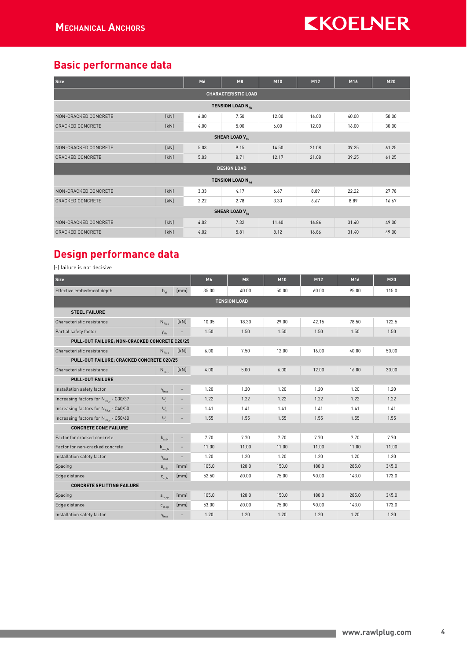# Basic performance data

| <b>Size</b>                      | M6   | <b>M8</b> | M10                          | M12   | M16   | <b>M20</b> |       |  |  |  |
|----------------------------------|------|-----------|------------------------------|-------|-------|------------|-------|--|--|--|
| <b>CHARACTERISTIC LOAD</b>       |      |           |                              |       |       |            |       |  |  |  |
| TENSION LOAD N <sub>pk</sub>     |      |           |                              |       |       |            |       |  |  |  |
| NON-CRACKED CONCRETE             | [kN] | 6.00      | 7.50                         | 12.00 | 16.00 | 40.00      | 50.00 |  |  |  |
| CRACKED CONCRETE                 | [kN] | 4.00      | 5.00                         | 6.00  | 12.00 | 16.00      | 30.00 |  |  |  |
| <b>SHEAR LOAD V<sub>pk</sub></b> |      |           |                              |       |       |            |       |  |  |  |
| NON-CRACKED CONCRETE             | [kN] | 5.03      | 9.15                         | 14.50 | 21.08 | 39.25      | 61.25 |  |  |  |
| CRACKED CONCRETE                 | [kN] | 5.03      | 8.71                         | 12.17 | 21.08 | 39.25      | 61.25 |  |  |  |
|                                  |      |           | <b>DESIGN LOAD</b>           |       |       |            |       |  |  |  |
|                                  |      |           | TENSION LOAD N <sub>pd</sub> |       |       |            |       |  |  |  |
| NON-CRACKED CONCRETE             | [kN] | 3.33      | 4.17                         | 6.67  | 8.89  | 22.22      | 27.78 |  |  |  |
| CRACKED CONCRETE                 | [kN] | 2.22      | 2.78                         | 3.33  | 6.67  | 8.89       | 16.67 |  |  |  |
| SHEAR LOAD V <sub>pd</sub>       |      |           |                              |       |       |            |       |  |  |  |
| NON-CRACKED CONCRETE             | [kN] | 4.02      | 7.32                         | 11.60 | 16.86 | 31.40      | 49.00 |  |  |  |
| CRACKED CONCRETE                 | [kN] | 4.02      | 5.81                         | 8.12  | 16.86 | 31.40      | 49.00 |  |  |  |

## Design performance data

(-) failure is not decisive

| Size                                             |                                                          |                          | M6    | <b>M8</b> | M10   | M12   | M <sub>16</sub> | <b>M20</b> |  |  |
|--------------------------------------------------|----------------------------------------------------------|--------------------------|-------|-----------|-------|-------|-----------------|------------|--|--|
| Effective embedment depth                        | $h_{\alpha f}$                                           | [mm]                     | 35.00 | 40.00     | 50.00 | 60.00 | 95.00           | 115.0      |  |  |
| <b>TENSION LOAD</b>                              |                                                          |                          |       |           |       |       |                 |            |  |  |
| <b>STEEL FAILURE</b>                             |                                                          |                          |       |           |       |       |                 |            |  |  |
| Characteristic resistance                        | $N_{Rk s}$                                               | [kN]                     | 10.05 | 18.30     | 29.00 | 42.15 | 78.50           | 122.5      |  |  |
| Partial safety factor                            | $Y_{Ms}$                                                 |                          | 1.50  | 1.50      | 1.50  | 1.50  | 1.50            | 1.50       |  |  |
| PULL-OUT FAILURE; NON-CRACKED CONCRETE C20/25    |                                                          |                          |       |           |       |       |                 |            |  |  |
| Characteristic resistance                        | $N_{Rk n}$                                               | [kN]                     | 6.00  | 7.50      | 12.00 | 16.00 | 40.00           | 50.00      |  |  |
| PULL-OUT FAILURE; CRACKED CONCRETE C20/25        |                                                          |                          |       |           |       |       |                 |            |  |  |
| Characteristic resistance                        | $N_{Rk,0}$                                               | [kN]                     | 4.00  | 5.00      | 6.00  | 12.00 | 16.00           | 30.00      |  |  |
| <b>PULL-OUT FAILURE</b>                          |                                                          |                          |       |           |       |       |                 |            |  |  |
| Installation safety factor                       | Yinst                                                    | $\overline{\phantom{a}}$ | 1.20  | 1.20      | 1.20  | 1.20  | 1.20            | 1.20       |  |  |
| Increasing factors for N <sub>Pda</sub> - C30/37 | $\Psi_{\rm c}$                                           | $\overline{\phantom{a}}$ | 1.22  | 1.22      | 1.22  | 1.22  | 1.22            | 1.22       |  |  |
| Increasing factors for N <sub>Rdn</sub> - C40/50 | $\Psi_c$                                                 | $\frac{1}{2}$            | 1.41  | 1.41      | 1.41  | 1.41  | 1.41            | 1.41       |  |  |
| Increasing factors for N <sub>Rdp</sub> - C50/60 | $\Psi_c$                                                 |                          | 1.55  | 1.55      | 1.55  | 1.55  | 1.55            | 1.55       |  |  |
| <b>CONCRETE CONE FAILURE</b>                     |                                                          |                          |       |           |       |       |                 |            |  |  |
| Factor for cracked concrete                      | $k_{cr,N}$                                               | ÷,                       | 7.70  | 7.70      | 7.70  | 7.70  | 7.70            | 7.70       |  |  |
| Factor for non-cracked concrete                  | $\mathsf{k}_{\scriptscriptstyle\mathsf{ucr},\mathsf{N}}$ | ÷,                       | 11.00 | 11.00     | 11.00 | 11.00 | 11.00           | 11.00      |  |  |
| Installation safety factor                       | Yinst                                                    |                          | 1.20  | 1.20      | 1.20  | 1.20  | 1.20            | 1.20       |  |  |
| Spacing                                          | $S_{cr,N}$                                               | [mm]                     | 105.0 | 120.0     | 150.0 | 180.0 | 285.0           | 345.0      |  |  |
| Edge distance                                    | $C_{cr,N}$                                               | [mm]                     | 52.50 | 60.00     | 75.00 | 90.00 | 143.0           | 173.0      |  |  |
| <b>CONCRETE SPLITTING FAILURE</b>                |                                                          |                          |       |           |       |       |                 |            |  |  |
| Spacing                                          | $S_{cr,SD}$                                              | [mm]                     | 105.0 | 120.0     | 150.0 | 180.0 | 285.0           | 345.0      |  |  |
| Edge distance                                    | $\mathsf{C}_{\operatorname{cr,sp}}$                      | [mm]                     | 53.00 | 60.00     | 75.00 | 90.00 | 143.0           | 173.0      |  |  |
| Installation safety factor                       | Yinst                                                    |                          | 1.20  | 1.20      | 1.20  | 1.20  | 1.20            | 1.20       |  |  |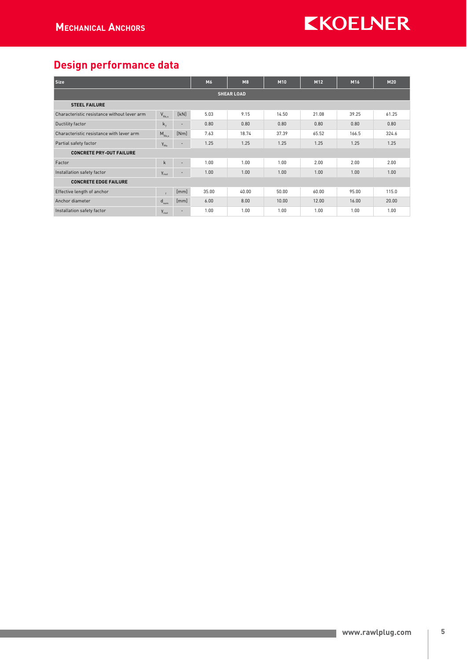# Design performance data

| Size                                        | M6           | <b>M8</b>                | M10   | M <sub>12</sub> | M <sub>16</sub> | M20   |       |       |  |  |
|---------------------------------------------|--------------|--------------------------|-------|-----------------|-----------------|-------|-------|-------|--|--|
| <b>SHEAR LOAD</b>                           |              |                          |       |                 |                 |       |       |       |  |  |
| <b>STEEL FAILURE</b>                        |              |                          |       |                 |                 |       |       |       |  |  |
| Characteristic resistance without lever arm | $V_{Rk,s}$   | [kN]                     | 5.03  | 9.15            | 14.50           | 21.08 | 39.25 | 61.25 |  |  |
| Ductility factor                            | $k_{7}$      | $\overline{\phantom{a}}$ | 0.80  | 0.80            | 0.80            | 0.80  | 0.80  | 0.80  |  |  |
| Characteristic resistance with lever arm    | $M_{Rk,s}$   | [Nm]                     | 7.63  | 18.74           | 37.39           | 65.52 | 166.5 | 324.6 |  |  |
| Partial safety factor                       | $Y_{Ms}$     | $\overline{\phantom{a}}$ | 1.25  | 1.25            | 1.25            | 1.25  | 1.25  | 1.25  |  |  |
| <b>CONCRETE PRY-OUT FAILURE</b>             |              |                          |       |                 |                 |       |       |       |  |  |
| Factor                                      | $\mathsf{k}$ | $\overline{\phantom{a}}$ | 1.00  | 1.00            | 1.00            | 2.00  | 2.00  | 2.00  |  |  |
| Installation safety factor                  | Yinst        | $\overline{\phantom{a}}$ | 1.00  | 1.00            | 1.00            | 1.00  | 1.00  | 1.00  |  |  |
| <b>CONCRETE EDGE FAILURE</b>                |              |                          |       |                 |                 |       |       |       |  |  |
| Effective length of anchor                  |              | [mm]                     | 35.00 | 40.00           | 50.00           | 60.00 | 95.00 | 115.0 |  |  |
| Anchor diameter                             | $d_{nom}$    | [mm]                     | 6.00  | 8.00            | 10.00           | 12.00 | 16.00 | 20.00 |  |  |
| Installation safety factor                  | $Y_{inst}$   | ٠                        | 1.00  | 1.00            | 1.00            | 1.00  | 1.00  | 1.00  |  |  |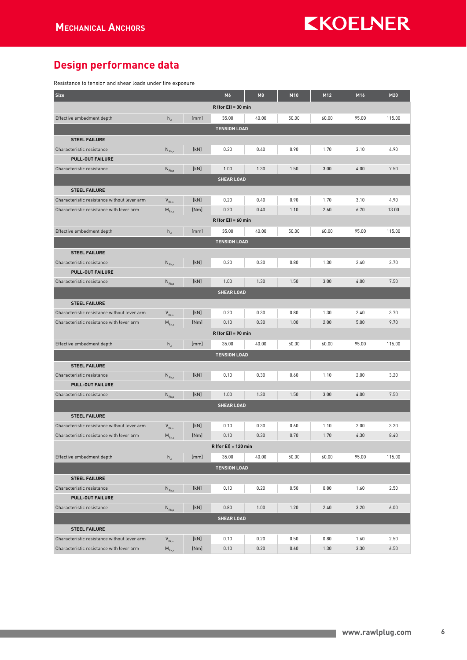### Design performance data

Resistance to tension and shear loads under fire exposure

| <b>Size</b>                                 |                                       |      | M6                    | M <sub>8</sub> | M10   | M12   | M16   | M20    |  |  |
|---------------------------------------------|---------------------------------------|------|-----------------------|----------------|-------|-------|-------|--------|--|--|
|                                             |                                       |      | $R$ (for EI) = 30 min |                |       |       |       |        |  |  |
| Effective embedment depth                   | $h_{\text{ef}}$                       | [mm] | 35.00                 | 40.00          | 50.00 | 60.00 | 95.00 | 115.00 |  |  |
|                                             |                                       |      | <b>TENSION LOAD</b>   |                |       |       |       |        |  |  |
| <b>STEEL FAILURE</b>                        |                                       |      |                       |                |       |       |       |        |  |  |
| Characteristic resistance                   | $N_{Rk,s}$                            | [kN] | 0.20                  | 0.40           | 0.90  | 1.70  | 3.10  | 4.90   |  |  |
| <b>PULL-OUT FAILURE</b>                     |                                       |      |                       |                |       |       |       |        |  |  |
| Characteristic resistance                   | $N_{Rk,0}$                            | [kN] | 1.00                  | 1.30           | 1.50  | 3.00  | 4.00  | 7.50   |  |  |
| <b>SHEAR LOAD</b>                           |                                       |      |                       |                |       |       |       |        |  |  |
| <b>STEEL FAILURE</b>                        |                                       |      |                       |                |       |       |       |        |  |  |
| Characteristic resistance without lever arm | $V_{Rk,s}$                            | [kN] | 0.20                  | 0.40           | 0.90  | 1.70  | 3.10  | 4.90   |  |  |
| Characteristic resistance with lever arm    | $M_{Rk,s}$                            | [Nm] | 0.20                  | 0.40           | 1.10  | 2.60  | 6.70  | 13.00  |  |  |
|                                             |                                       |      | $R$ (for EI) = 60 min |                |       |       |       |        |  |  |
| Effective embedment depth                   | $h_{\text{ef}}$                       | [mm] | 35.00                 | 40.00          | 50.00 | 60.00 | 95.00 | 115.00 |  |  |
|                                             |                                       |      | <b>TENSION LOAD</b>   |                |       |       |       |        |  |  |
| <b>STEEL FAILURE</b>                        |                                       |      |                       |                |       |       |       |        |  |  |
| Characteristic resistance                   | $\mathsf{N}_{\mathsf{Rk},\mathsf{s}}$ | [kN] | 0.20                  | 0.30           | 0.80  | 1.30  | 2.40  | 3.70   |  |  |
| <b>PULL-OUT FAILURE</b>                     |                                       |      |                       |                |       |       |       |        |  |  |
| Characteristic resistance                   | $N_{Rk,0}$                            | [kN] | 1.00                  | 1.30           | 1.50  | 3.00  | 4.00  | 7.50   |  |  |
|                                             |                                       |      | <b>SHEAR LOAD</b>     |                |       |       |       |        |  |  |
| <b>STEEL FAILURE</b>                        |                                       |      |                       |                |       |       |       |        |  |  |
| Characteristic resistance without lever arm | $\mathsf{V}_{\mathsf{Rk},\mathsf{s}}$ | [kN] | 0.20                  | 0.30           | 0.80  | 1.30  | 2.40  | 3.70   |  |  |
| Characteristic resistance with lever arm    | $M_{Rk,s}$                            | [Nm] | 0.10                  | 0.30           | 1.00  | 2.00  | 5.00  | 9.70   |  |  |
|                                             |                                       |      | $R$ (for EI) = 90 min |                |       |       |       |        |  |  |
| Effective embedment depth                   | $h_{\text{ef}}$                       | [mm] | 35.00                 | 40.00          | 50.00 | 60.00 | 95.00 | 115.00 |  |  |
|                                             |                                       |      | <b>TENSION LOAD</b>   |                |       |       |       |        |  |  |
| <b>STEEL FAILURE</b>                        |                                       |      |                       |                |       |       |       |        |  |  |
| Characteristic resistance                   | $N_{Rk,s}$                            | [kN] | 0.10                  | 0.30           | 0.60  | 1.10  | 2.00  | 3.20   |  |  |
| <b>PULL-OUT FAILURE</b>                     |                                       |      |                       |                |       |       |       |        |  |  |
| Characteristic resistance                   | $N_{\rm Rk,p}$                        | [kN] | 1.00                  | 1.30           | 1.50  | 3.00  | 4.00  | 7.50   |  |  |
|                                             |                                       |      | <b>SHEAR LOAD</b>     |                |       |       |       |        |  |  |
| <b>STEEL FAILURE</b>                        |                                       |      |                       |                |       |       |       |        |  |  |
| Characteristic resistance without lever arm | $V_{Rk,s}$                            | [kN] | 0.10                  | 0.30           | 0.60  | 1.10  | 2.00  | 3.20   |  |  |
| Characteristic resistance with lever arm    | $M_{Rk,s}$                            | [Nm] | 0.10                  | 0.30           | 0.70  | 1.70  | 4.30  | 8.40   |  |  |
|                                             |                                       |      | R (for EI) = 120 min  |                |       |       |       |        |  |  |
| Effective embedment depth                   | $h_{\text{ef}}$                       | [mm] | 35.00                 | 40.00          | 50.00 | 60.00 | 95.00 | 115.00 |  |  |
|                                             |                                       |      | <b>TENSION LOAD</b>   |                |       |       |       |        |  |  |
| <b>STEEL FAILURE</b>                        |                                       |      |                       |                |       |       |       |        |  |  |
| Characteristic resistance                   | $N_{Rk,s}$                            | [kN] | 0.10                  | 0.20           | 0.50  | 0.80  | 1.60  | 2.50   |  |  |
| <b>PULL-OUT FAILURE</b>                     |                                       |      |                       |                |       |       |       |        |  |  |
| Characteristic resistance                   | $N_{\rm Rk,p}$                        | [kN] | 0.80                  | 1.00           | 1.20  | 2.40  | 3.20  | 6.00   |  |  |
|                                             |                                       |      | <b>SHEAR LOAD</b>     |                |       |       |       |        |  |  |
| <b>STEEL FAILURE</b>                        |                                       |      |                       |                |       |       |       |        |  |  |
| Characteristic resistance without lever arm | $V_{\rm Rk,s}$                        | [kN] | 0.10                  | 0.20           | 0.50  | 0.80  | 1.60  | 2.50   |  |  |
| Characteristic resistance with lever arm    | $M_{Rk,s}$                            | [Nm] | 0.10                  | 0.20           | 0.60  | 1.30  | 3.30  | 6.50   |  |  |